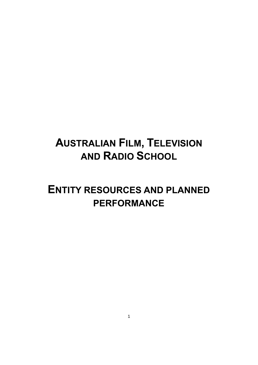# **AUSTRALIAN FILM, TELEVISION AND RADIO SCHOOL**

# **ENTITY RESOURCES AND PLANNED PERFORMANCE**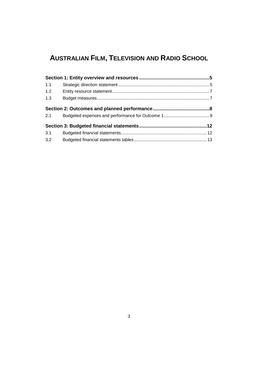# **AUSTRALIAN FILM, TELEVISION AND RADIO SCHOOL**

| 1.1 |  |
|-----|--|
| 1.2 |  |
| 1.3 |  |
|     |  |
| 2.1 |  |
|     |  |
| 3.1 |  |
| 3.2 |  |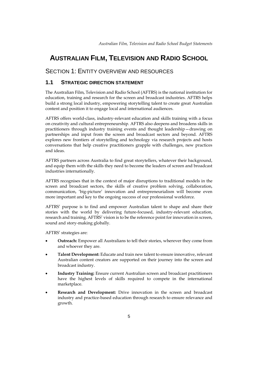# **AUSTRALIAN FILM, TELEVISION AND RADIO SCHOOL**

# <span id="page-4-0"></span>SECTION 1: ENTITY OVERVIEW AND RESOURCES

## <span id="page-4-1"></span>**1.1 STRATEGIC DIRECTION STATEMENT**

The Australian Film, Television and Radio School (AFTRS) is the national institution for education, training and research for the screen and broadcast industries. AFTRS helps build a strong local industry, empowering storytelling talent to create great Australian content and position it to engage local and international audiences.

AFTRS offers world-class, industry-relevant education and skills training with a focus on creativity and cultural entrepreneurship. AFTRS also deepens and broadens skills in practitioners through industry training events and thought leadership—drawing on partnerships and input from the screen and broadcast sectors and beyond. AFTRS explores new frontiers of storytelling and technology via research projects and hosts conversations that help creative practitioners grapple with challenges, new practices and ideas.

AFTRS partners across Australia to find great storytellers, whatever their background, and equip them with the skills they need to become the leaders of screen and broadcast industries internationally.

AFTRS recognises that in the context of major disruptions to traditional models in the screen and broadcast sectors, the skills of creative problem solving, collaboration, communication, 'big-picture' innovation and entrepreneurialism will become even more important and key to the ongoing success of our professional workforce.

AFTRS' purpose is to find and empower Australian talent to shape and share their stories with the world by delivering future-focused, industry-relevant education, research and training. AFTRS' vision is to be the reference point for innovation in screen, sound and story-making globally.

AFTRS' strategies are:

- **Outreach:** Empower all Australians to tell their stories, wherever they come from and whoever they are.
- **Talent Development:** Educate and train new talent to ensure innovative, relevant Australian content creators are supported on their journey into the screen and broadcast industry.
- **Industry Training:** Ensure current Australian screen and broadcast practitioners have the highest levels of skills required to compete in the international marketplace.
- **Research and Development:** Drive innovation in the screen and broadcast industry and practice-based education through research to ensure relevance and growth.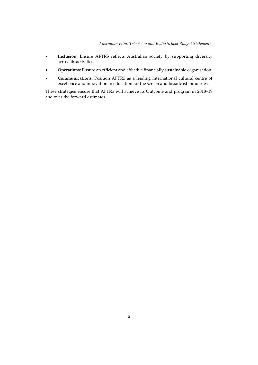- **Inclusion:** Ensure AFTRS reflects Australian society by supporting diversity across its activities.
- **Operations:** Ensure an efficient and effective financially sustainable organisation.
- **Communications:** Position AFTRS as a leading international cultural centre of excellence and innovation in education for the screen and broadcast industries.

These strategies ensure that AFTRS will achieve its Outcome and program in 2018–19 and over the forward estimates.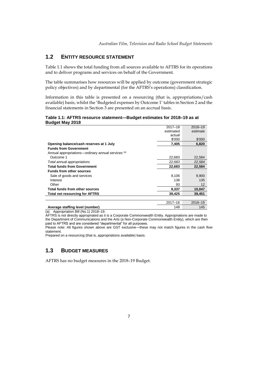# <span id="page-6-0"></span>**1.2 ENTITY RESOURCE STATEMENT**

Table 1.1 shows the total funding from all sources available to AFTRS for its operations and to deliver programs and services on behalf of the Government.

The table summarises how resources will be applied by outcome (government strategic policy objectives) and by departmental (for the AFTRS's operations) classification.

Information in this table is presented on a resourcing (that is, appropriations/cash available) basis, whilst the 'Budgeted expenses by Outcome 1' tables in Section 2 and the financial statements in Section 3 are presented on an accrual basis.

## **Table 1.1: AFTRS resource statement—Budget estimates for 2018–19 as at Budget May 2018**

|                                                    | $2017 - 18$ | 2018-19           |
|----------------------------------------------------|-------------|-------------------|
|                                                    | estimated   | estimate          |
|                                                    | actual      |                   |
|                                                    | \$'000      | \$'000            |
| Opening balance/cash reserves at 1 July            | 7,405       | 6,820             |
| <b>Funds from Government</b>                       |             |                   |
| Annual appropriations—ordinary annual services (a) |             |                   |
| Outcome 1                                          | 22,683      | 22,584            |
| Total annual appropriations                        | 22,683      | 22,584            |
| <b>Total funds from Government</b>                 | 22,683      | 22,584            |
| <b>Funds from other sources</b>                    |             |                   |
| Sale of goods and services                         | 9,106       | 9,900             |
| Interest                                           | 138         | 135               |
| Other                                              | 93          | $12 \overline{ }$ |
| Total funds from other sources                     | 9,337       | 10,047            |
| <b>Total net resourcing for AFTRS</b>              | 39,425      | 39,451            |
|                                                    |             |                   |
|                                                    | $2017 - 18$ | 2018-19           |

## <span id="page-6-1"></span>Average staffing level (number) 145

(a) Appropriation Bill (No.1) 2018–19.

AFTRS is not directly appropriated as it is a Corporate Commonwealth Entity. Appropriations are made to the Department of Communications and the Arts (a Non-Corporate Commonwealth Entity), which are then paid to AFTRS and are considered "departmental" for all purposes.

Please note: All figures shown above are GST exclusive—these may not match figures in the cash flow statement.

Prepared on a resourcing (that is, appropriations available) basis.

# **1.3 BUDGET MEASURES**

<span id="page-6-2"></span>AFTRS has no budget measures in the 2018–19 Budget.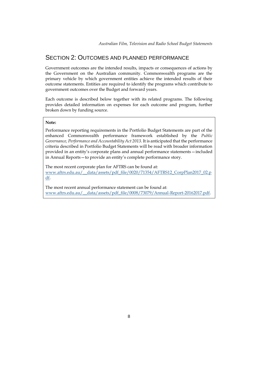# SECTION 2: OUTCOMES AND PLANNED PERFORMANCE

Government outcomes are the intended results, impacts or consequences of actions by the Government on the Australian community. Commonwealth programs are the primary vehicle by which government entities achieve the intended results of their outcome statements. Entities are required to identify the programs which contribute to government outcomes over the Budget and forward years.

Each outcome is described below together with its related programs. The following provides detailed information on expenses for each outcome and program, further broken down by funding source.

## **Note:**

Performance reporting requirements in the Portfolio Budget Statements are part of the enhanced Commonwealth performance framework established by the *Public Governance, Performance and Accountability Act 2013*. It is anticipated that the performance criteria described in Portfolio Budget Statements will be read with broader information provided in an entity's corporate plans and annual performance statements—included in Annual Reports—to provide an entity's complete performance story.

The most recent corporate plan for AFTRS can be found at: [www.aftrs.edu.au/\\_\\_data/assets/pdf\\_file/0020/71354/AFTRS12\\_CorpPlan2017\\_02.p](http://www.aftrs.edu.au/__data/assets/pdf_file/0020/71354/AFTRS12_CorpPlan2017_02.pdf) [df.](http://www.aftrs.edu.au/__data/assets/pdf_file/0020/71354/AFTRS12_CorpPlan2017_02.pdf)

The most recent annual performance statement can be found at: [www.aftrs.edu.au/\\_\\_data/assets/pdf\\_file/0008/73079/Annual-Report-20162017.pdf.](http://www.aftrs.edu.au/__data/assets/pdf_file/0008/73079/Annual-Report-20162017.pdf)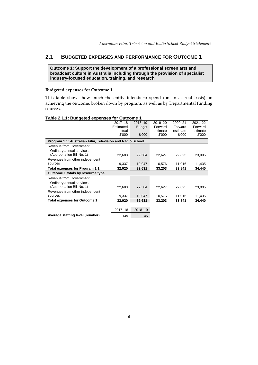# <span id="page-8-0"></span>**2.1 BUDGETED EXPENSES AND PERFORMANCE FOR OUTCOME 1**

**Outcome 1: Support the development of a professional screen arts and broadcast culture in Australia including through the provision of specialist industry-focused education, training, and research**

## **Budgeted expenses for Outcome 1**

This table shows how much the entity intends to spend (on an accrual basis) on achieving the outcome, broken down by program, as well as by Departmental funding sources.

| o                                                         |             |               |          |          |             |
|-----------------------------------------------------------|-------------|---------------|----------|----------|-------------|
|                                                           | $2017 - 18$ | 2018-19       | 2019-20  | 2020-21  | $2021 - 22$ |
|                                                           | Estimated   | <b>Budget</b> | Forward  | Forward  | Forward     |
|                                                           | actual      |               | estimate | estimate | estimate    |
|                                                           | \$'000      | \$'000        | \$'000   | \$'000   | \$'000      |
| Program 1.1: Australian Film, Television and Radio School |             |               |          |          |             |
| Revenue from Government                                   |             |               |          |          |             |
| Ordinary annual services                                  |             |               |          |          |             |
| (Appropriation Bill No. 1)                                | 22,683      | 22,584        | 22,627   | 22,825   | 23,005      |
| Revenues from other independent                           |             |               |          |          |             |
| sources                                                   | 9,337       | 10,047        | 10,576   | 11,016   | 11,435      |
| Total expenses for Program 1.1                            | 32,020      | 32,631        | 33,203   | 33,841   | 34,440      |
| Outcome 1 totals by resource type                         |             |               |          |          |             |
| Revenue from Government                                   |             |               |          |          |             |
| Ordinary annual services                                  |             |               |          |          |             |
| (Appropriation Bill No. 1)                                | 22,683      | 22,584        | 22,627   | 22,825   | 23,005      |
| Revenues from other independent                           |             |               |          |          |             |
| sources                                                   | 9,337       | 10,047        | 10,576   | 11,016   | 11,435      |
| <b>Total expenses for Outcome 1</b>                       | 32,020      | 32,631        | 33,203   | 33,841   | 34,440      |
|                                                           |             |               |          |          |             |
|                                                           | 2017-18     | 2018-19       |          |          |             |
| Average staffing level (number)                           | 149         | 145           |          |          |             |
|                                                           |             |               |          |          |             |

#### **Table 2.1.1: Budgeted expenses for Outcome 1**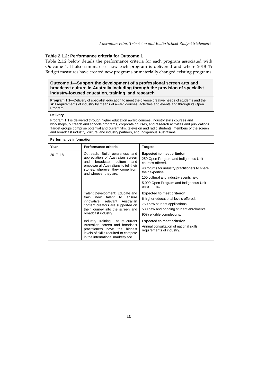### **Table 2.1.2: Performance criteria for Outcome 1**

Table 2.1.2 below details the performance criteria for each program associated with Outcome 1. It also summarises how each program is delivered and where 2018–19 Budget measures have created new programs or materially changed existing programs.

## **Outcome 1—Support the development of a professional screen arts and broadcast culture in Australia including through the provision of specialist industry-focused education, training, and research**

**Program 1.1**—Delivery of specialist education to meet the diverse creative needs of students and the skill requirements of industry by means of award courses, activities and events and through its Open Program

#### **Delivery**

Program 1.1 is delivered through higher education award courses, industry skills courses and workshops, outreach and schools programs, corporate courses, and research activities and publications. Target groups comprise potential and current film, television and radio students, members of the screen and broadcast industry, cultural and industry partners, and Indigenous Australians.

| <b>Performance information</b> |                                                                                                                                                                                                                     |                                                                                                                                                                                                                                                                       |  |  |  |  |  |
|--------------------------------|---------------------------------------------------------------------------------------------------------------------------------------------------------------------------------------------------------------------|-----------------------------------------------------------------------------------------------------------------------------------------------------------------------------------------------------------------------------------------------------------------------|--|--|--|--|--|
| Year                           | Performance criteria                                                                                                                                                                                                | <b>Targets</b>                                                                                                                                                                                                                                                        |  |  |  |  |  |
| $2017 - 18$                    | Outreach: Build awareness and<br>appreciation of Australian screen<br>broadcast<br>culture<br>and<br>and<br>empower all Australians to tell their<br>stories, wherever they come from<br>and whoever they are.      | <b>Expected to meet criterion</b><br>250 Open Program and Indigenous Unit<br>courses offered.<br>40 forums for industry practitioners to share<br>their expertise.<br>100 cultural and industry events held.<br>5,000 Open Program and Indigenous Unit<br>enrolments. |  |  |  |  |  |
|                                | Talent Development: Educate and<br>talent<br>train<br>new<br>to<br>ensure<br>Australian<br>innovative,<br>relevant<br>content creators are supported on<br>their journey into the screen and<br>broadcast industry. | <b>Expected to meet criterion</b><br>6 higher educational levels offered.<br>750 new student applications.<br>530 new and ongoing student enrolments.<br>90% eligible completions.                                                                                    |  |  |  |  |  |
|                                | Industry Training: Ensure current<br>Australian screen and broadcast<br>practitioners have the highest<br>levels of skills required to compete<br>in the international marketplace.                                 | <b>Expected to meet criterion</b><br>Annual consultation of national skills<br>requirements of industry.                                                                                                                                                              |  |  |  |  |  |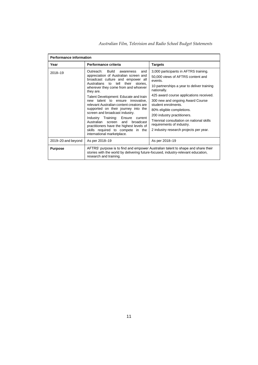| <b>Performance information</b>                                                                                                                                                                                    |                                                                                                                                                                                                                                                                                                                                                                                                                                                                                                                                                                                                                                           |                                                                                                                                                                                                                                                                                                                                                                                                                                          |  |  |  |  |  |
|-------------------------------------------------------------------------------------------------------------------------------------------------------------------------------------------------------------------|-------------------------------------------------------------------------------------------------------------------------------------------------------------------------------------------------------------------------------------------------------------------------------------------------------------------------------------------------------------------------------------------------------------------------------------------------------------------------------------------------------------------------------------------------------------------------------------------------------------------------------------------|------------------------------------------------------------------------------------------------------------------------------------------------------------------------------------------------------------------------------------------------------------------------------------------------------------------------------------------------------------------------------------------------------------------------------------------|--|--|--|--|--|
| Year                                                                                                                                                                                                              | Performance criteria                                                                                                                                                                                                                                                                                                                                                                                                                                                                                                                                                                                                                      | <b>Targets</b>                                                                                                                                                                                                                                                                                                                                                                                                                           |  |  |  |  |  |
| 2018-19                                                                                                                                                                                                           | <b>Build</b><br>Outreach:<br>awareness<br>and<br>appreciation of Australian screen and<br>broadcast culture and empower all<br>tell<br>their<br>Australians to<br>stories,<br>wherever they come from and whoever<br>they are.<br>Talent Development: Educate and train<br>talent to ensure innovative.<br>new<br>relevant Australian content creators are<br>supported on their journey into the<br>screen and broadcast industry.<br>Industry Training:<br>Ensure<br>current<br>Australian<br>broadcast<br>screen<br>and<br>practitioners have the highest levels of<br>skills required to compete in the<br>international marketplace. | 3,000 participants in AFTRS training.<br>50,000 views of AFTRS content and<br>events.<br>10 partnerships a year to deliver training<br>nationally.<br>425 award course applications received.<br>300 new and ongoing Award Course<br>student enrolments.<br>80% eligible completions.<br>200 industry practitioners.<br>Triennial consultation on national skills<br>requirements of industry.<br>2 industry research projects per year. |  |  |  |  |  |
| 2019–20 and beyond                                                                                                                                                                                                | As per 2018-19                                                                                                                                                                                                                                                                                                                                                                                                                                                                                                                                                                                                                            | As per 2018-19                                                                                                                                                                                                                                                                                                                                                                                                                           |  |  |  |  |  |
| AFTRS' purpose is to find and empower Australian talent to shape and share their<br><b>Purpose</b><br>stories with the world by delivering future-focused, industry-relevant education,<br>research and training. |                                                                                                                                                                                                                                                                                                                                                                                                                                                                                                                                                                                                                                           |                                                                                                                                                                                                                                                                                                                                                                                                                                          |  |  |  |  |  |

*Australian Film, Television and Radio School Budget Statements*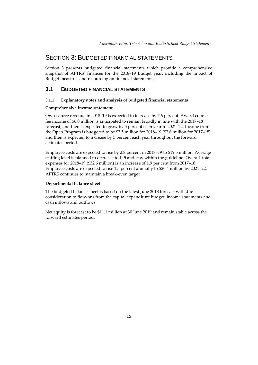# <span id="page-11-0"></span>SECTION 3: BUDGETED FINANCIAL STATEMENTS

<span id="page-11-1"></span>Section 3 presents budgeted financial statements which provide a comprehensive snapshot of AFTRS' finances for the 2018–19 Budget year, including the impact of Budget measures and resourcing on financial statements.

## **3.1 BUDGETED FINANCIAL STATEMENTS**

## **3.1.1 Explanatory notes and analysis of budgeted financial statements**

## **Comprehensive income statement**

Own-source revenue in 2018–19 is expected to increase by 7.6 percent. Award course fee income of \$6.0 million is anticipated to remain broadly in line with the 2017–18 forecast, and then is expected to grow by 5 percent each year to 2021–22. Income from the Open Program is budgeted to be \$3.5 million for 2018–19 (\$2.6 million for 2017–18) and then is expected to increase by 5 percent each year throughout the forward estimates period.

Employee costs are expected to rise by 2.8 percent in 2018–19 to \$19.5 million. Average staffing level is planned to decrease to 145 and stay within the guideline. Overall, total expenses for 2018–19 (\$32.6 million) is an increase of 1.9 per cent from 2017–18. Employee costs are expected to rise 1.5 percent annually to \$20.4 million by 2021–22. AFTRS continues to maintain a break-even target.

## **Departmental balance sheet**

The budgeted balance sheet is based on the latest June 2018 forecast with due consideration to flow-ons from the capital expenditure budget, income statements and cash inflows and outflows.

Net equity is forecast to be \$11.1 million at 30 June 2019 and remain stable across the forward estimates period.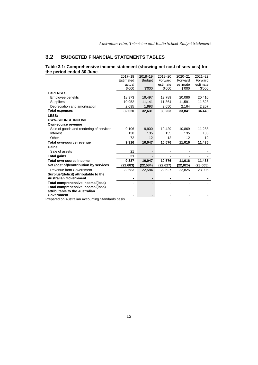# <span id="page-12-0"></span>**3.2 BUDGETED FINANCIAL STATEMENTS TABLES**

### **Table 3.1: Comprehensive income statement (showing net cost of services) for the period ended 30 June**

|                                              | $2017 - 18$ | 2018-19       | 2019-20        | 2020-21  | $2021 - 22$ |
|----------------------------------------------|-------------|---------------|----------------|----------|-------------|
|                                              | Estimated   | <b>Budget</b> | Forward        | Forward  | Forward     |
|                                              | actual      |               | estimate       | estimate | estimate    |
|                                              | \$'000      | \$'000        | \$'000         | \$'000   | \$'000      |
| <b>EXPENSES</b>                              |             |               |                |          |             |
| Employee benefits                            | 18,973      | 19,497        | 19,789         | 20,086   | 20,410      |
| <b>Suppliers</b>                             | 10.952      | 11.141        | 11.364         | 11.591   | 11,823      |
| Depreciation and amortisation                | 2,095       | 1,993         | 2,050          | 2,164    | 2,207       |
| <b>Total expenses</b>                        | 32,020      | 32,631        | 33,203         | 33,841   | 34,440      |
| LESS:                                        |             |               |                |          |             |
| <b>OWN-SOURCE INCOME</b>                     |             |               |                |          |             |
| <b>Own-source revenue</b>                    |             |               |                |          |             |
| Sale of goods and rendering of services      | 9,106       | 9,900         | 10,429         | 10,869   | 11,288      |
| Interest                                     | 138         | 135           | 135            | 135      | 135         |
|                                              |             |               |                |          |             |
| Other                                        | 72          | 12            | 12             | 12       | 12          |
| Total own-source revenue                     | 9,316       | 10,047        | 10,576         | 11,016   | 11,435      |
| Gains                                        |             |               |                |          |             |
| Sale of assets                               | 21          |               |                |          |             |
| <b>Total gains</b>                           | 21          |               |                |          |             |
| Total own-source income                      | 9,337       | 10,047        | 10,576         | 11,016   | 11,435      |
| Net (cost of)/contribution by services       | (22,683)    | (22,584)      | (22,627)       | (22,825) | (23,005)    |
| Revenue from Government                      | 22,683      | 22,584        | 22,627         | 22,825   | 23,005      |
| Surplus/(deficit) attributable to the        |             |               |                |          |             |
| <b>Australian Government</b>                 | ٠           |               |                |          |             |
| Total comprehensive income/(loss)            | -           |               | $\blacksquare$ |          |             |
| Total comprehensive income/(loss)            |             |               |                |          |             |
| attributable to the Australian<br>Government |             |               |                |          |             |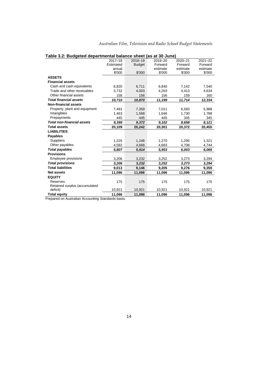|                                   | $2017 - 18$ | <br>2018-19   | u. vv vu.iv<br>2019-20 | 2020-21  | $2021 - 22$ |
|-----------------------------------|-------------|---------------|------------------------|----------|-------------|
|                                   | Estimated   | <b>Budget</b> | Forward                | Forward  | Forward     |
|                                   | actual      |               | estimate               | estimate | estimate    |
|                                   | \$'000      | \$'000        | \$'000                 | \$'000   | \$'000      |
| <b>ASSETS</b>                     |             |               |                        |          |             |
| <b>Financial assets</b>           |             |               |                        |          |             |
| Cash and cash equivalents         | 6,820       | 6,711         | 6,840                  | 7,142    | 7,540       |
| Trade and other receivables       | 3,732       | 4,003         | 4,203                  | 4,413    | 4,634       |
| Other financial assets            | 158         | 156           | 156                    | 159      | 160         |
| <b>Total financial assets</b>     | 10,710      | 10,870        | 11,199                 | 11,714   | 12,334      |
| <b>Non-financial assets</b>       |             |               |                        |          |             |
| Property, plant and equipment     | 7,491       | 7,359         | 7,011                  | 6,583    | 5,988       |
| Intangibles                       | 1,463       | 1,568         | 1,646                  | 1,730    | 1,788       |
| Prepayments                       | 445         | 445           | 445                    | 345      | 345         |
| <b>Total non-financial assets</b> | 9,399       | 9,372         | 9,102                  | 8,658    | 8,121       |
| <b>Total assets</b>               | 20,109      | 20,242        | 20,301                 | 20,372   | 20,455      |
| <b>LIABILITIES</b>                |             |               |                        |          |             |
| <b>Payables</b>                   |             |               |                        |          |             |
| <b>Suppliers</b>                  | 1,225       | 1,246         | 1,270                  | 1,295    | 1,321       |
| Other payables                    | 4.582       | 4,668         | 4,683                  | 4.708    | 4,744       |
| <b>Total payables</b>             | 5,807       | 5,914         | 5,953                  | 6,003    | 6,065       |
| <b>Provisions</b>                 |             |               |                        |          |             |
| Employee provisions               | 3,206       | 3,232         | 3,252                  | 3,273    | 3,294       |
| <b>Total provisions</b>           | 3,206       | 3,232         | 3,252                  | 3,273    | 3,294       |
| <b>Total liabilities</b>          | 9,013       | 9,146         | 9,205                  | 9,276    | 9,359       |
| <b>Net assets</b>                 | 11,096      | 11,096        | 11,096                 | 11,096   | 11,096      |
| <b>EQUITY</b>                     |             |               |                        |          |             |
| Reserves                          | 175         | 175           | 175                    | 175      | 175         |
| Retained surplus (accumulated     |             |               |                        |          |             |
| deficit)                          | 10,921      | 10,921        | 10,921                 | 10,921   | 10,921      |
| <b>Total equity</b>               | 11,096      | 11.096        | 11,096                 | 11.096   | 11.096      |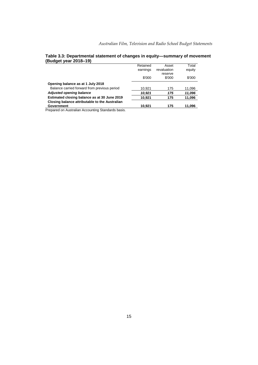|                                                | Retained | Asset       | Total  |
|------------------------------------------------|----------|-------------|--------|
|                                                | earnings | revaluation | equity |
|                                                |          | reserve     |        |
|                                                | \$'000   | \$'000      | \$'000 |
| Opening balance as at 1 July 2018              |          |             |        |
| Balance carried forward from previous period   | 10,921   | 175         | 11,096 |
| <b>Adjusted opening balance</b>                | 10,921   | 175         | 11,096 |
| Estimated closing balance as at 30 June 2019   | 10.921   | 175         | 11,096 |
| Closing balance attributable to the Australian |          |             |        |
| Government                                     | 10.921   | 175         | 11,096 |
| .                                              |          |             |        |

## **Table 3.3: Departmental statement of changes in equity—summary of movement (Budget year 2018–19)**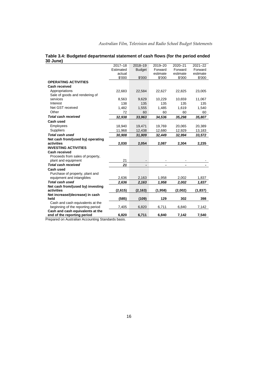| $2017 - 18$ | 2018-19         | 2019-20         | 2020-21                            | $2021 - 22$                 |
|-------------|-----------------|-----------------|------------------------------------|-----------------------------|
| Estimated   | <b>Budget</b>   | Forward         | Forward                            | Forward                     |
| actual      |                 |                 |                                    | estimate                    |
|             |                 |                 |                                    | \$'000                      |
|             |                 |                 |                                    |                             |
|             |                 |                 |                                    |                             |
| 22,683      | 22,584          | 22,627          | 22,825                             | 23,005                      |
|             |                 |                 |                                    |                             |
| 8,563       | 9,629           | 10,229          | 10,659                             | 11,067                      |
| 138         | 135             | 135             | 135                                | 135                         |
| 1,482       | 1,555           | 1,485           | 1,619                              | 1,540                       |
| 72          | 60              | 60              | 60                                 | 60                          |
| 32,938      | 33,963          | 34,536          | 35,298                             | 35,807                      |
|             |                 |                 |                                    |                             |
| 18,940      | 19,471          | 19,769          | 20,065                             | 20,389                      |
| 11,968      | 12,438          | 12,680          | 12,929                             | 13,183                      |
| 30,908      | 31,909          | 32,449          | 32,994                             | 33,572                      |
|             |                 |                 |                                    |                             |
| 2,030       | 2,054           | 2,087           | 2,304                              | 2,235                       |
|             |                 |                 |                                    |                             |
|             |                 |                 |                                    |                             |
|             |                 |                 |                                    |                             |
| 21          |                 |                 |                                    |                             |
| 21          | -               |                 |                                    |                             |
|             |                 |                 |                                    |                             |
|             |                 |                 |                                    |                             |
| 2,636       | 2,163           | 1,958           | 2,002                              | 1,837                       |
| 2,636       | 2,163           | 1,958           | 2,002                              | 1,837                       |
|             |                 |                 |                                    |                             |
| (2,615)     | (2, 163)        | (1,958)         | (2,002)                            | (1,837)                     |
|             |                 |                 |                                    |                             |
| (585)       | (109)           |                 | 302                                | 398                         |
|             |                 |                 |                                    |                             |
|             |                 |                 |                                    | 7,142                       |
|             |                 |                 |                                    |                             |
| 6,820       | 6,711           | 6,840           | 7,142                              | 7,540                       |
|             | \$'000<br>7,405 | \$'000<br>6.820 | estimate<br>\$'000<br>129<br>6,711 | estimate<br>\$'000<br>6.840 |

## **Table 3.4: Budgeted departmental statement of cash flows (for the period ended 30 June)**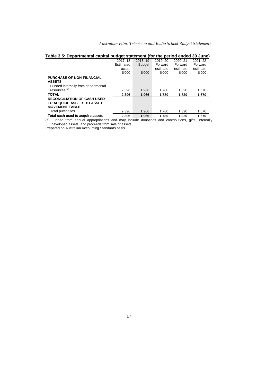| Australian Film, Television and Radio School Budget Statements |  |  |  |  |  |
|----------------------------------------------------------------|--|--|--|--|--|
|----------------------------------------------------------------|--|--|--|--|--|

| rable 3.5. Departmental capital budget statement (for the period ended 30 June)           |             |               |          |                   |                            |
|-------------------------------------------------------------------------------------------|-------------|---------------|----------|-------------------|----------------------------|
|                                                                                           | $2017 - 18$ | 2018-19       | 2019-20  | 2020-21           | $2021 - 22$                |
|                                                                                           | Estimated   | <b>Budget</b> | Forward  | Forward           | Forward                    |
|                                                                                           | actual      |               | estimate | estimate          | estimate                   |
|                                                                                           | \$'000      | \$'000        | \$'000   | \$'000            | \$'000                     |
| <b>PURCHASE OF NON-FINANCIAL</b><br><b>ASSETS</b>                                         |             |               |          |                   |                            |
| Funded internally from departmental<br>resources <sup>(a)</sup>                           | 2.396       | 1,966         | 1.780    | 1,820             | 1,670                      |
| <b>TOTAL</b>                                                                              | 2.396       | 1.966         | 1.780    | 1.820             | 1,670                      |
| <b>RECONCILIATION OF CASH USED</b><br>TO ACQUIRE ASSETS TO ASSET<br><b>MOVEMENT TABLE</b> |             |               |          |                   |                            |
| Total purchases                                                                           | 2.396       | 1,966         | 1.780    | 1,820             | 1,670                      |
| Total cash used to acquire assets                                                         | 2.396       | 1.966         | 1.780    | 1.820             | 1.670                      |
| (a) Eunded from annual annonriations and may include donations                            |             |               |          | and contributions | $\alpha$ ifte<br>internall |

| Table 3.5: Departmental capital budget statement (for the period ended 30 June) |
|---------------------------------------------------------------------------------|
|---------------------------------------------------------------------------------|

(a) Funded from annual appropriations and may include donations and contributions, gifts, internally developed assets, and proceeds from sale of assets.